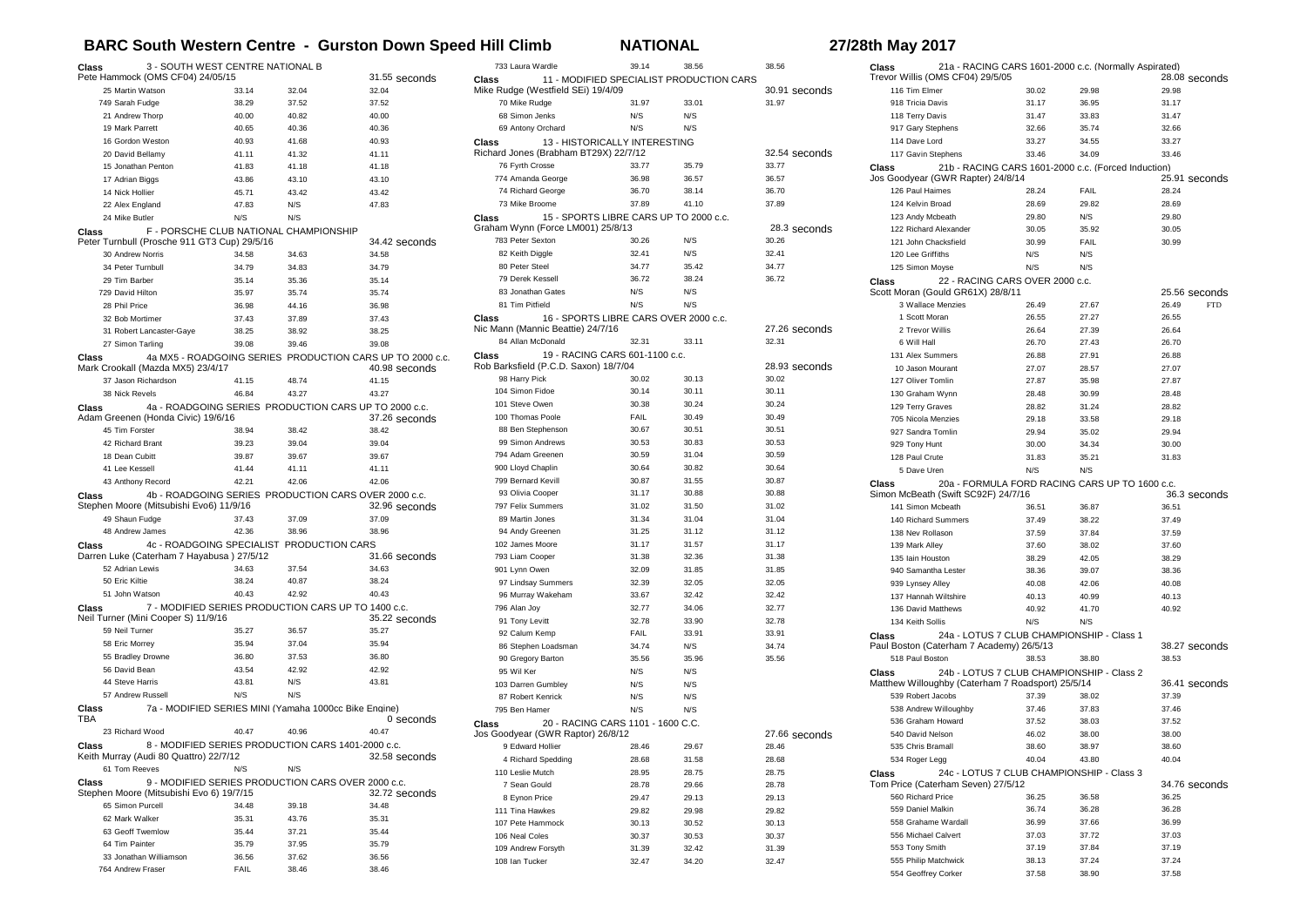## **BARC South Western Centre - Gurston Down Speed Hill Climb NATIONAL 27/28th May 2017**

| 3 - SOUTH WEST CENTRE NATIONAL B<br>Class<br>Pete Hammock (OMS CF04) 24/05/15<br>31.55 seconds                       |                                                       |                |                                                                            |  |
|----------------------------------------------------------------------------------------------------------------------|-------------------------------------------------------|----------------|----------------------------------------------------------------------------|--|
| 25 Martin Watson                                                                                                     | 33.14                                                 | 32.04          | 32.04                                                                      |  |
| 749 Sarah Fudge                                                                                                      | 38.29                                                 | 37.52          | 37.52                                                                      |  |
| 21 Andrew Thorp                                                                                                      | 40.00                                                 | 40.82          | 40.00                                                                      |  |
| 19 Mark Parrett                                                                                                      | 40.65                                                 | 40.36          | 40.36                                                                      |  |
| 16 Gordon Weston                                                                                                     | 40.93                                                 | 41.68          | 40.93                                                                      |  |
| 20 David Bellamy                                                                                                     | 41.11                                                 | 41.32          | 41.11                                                                      |  |
| 15 Jonathan Penton                                                                                                   | 41.83                                                 | 41.18          | 41.18                                                                      |  |
| 17 Adrian Biggs                                                                                                      | 43.86                                                 | 43.10          | 43.10                                                                      |  |
| 14 Nick Hollier                                                                                                      | 45.71                                                 | 43.42          | 43.42                                                                      |  |
| 22 Alex England                                                                                                      | 47.83                                                 | N/S            | 47.83                                                                      |  |
| 24 Mike Butler                                                                                                       | N/S                                                   | N/S            |                                                                            |  |
| Class                                                                                                                | F - PORSCHE CLUB NATIONAL CHAMPIONSHIP                |                |                                                                            |  |
|                                                                                                                      | Peter Turnbull (Prosche 911 GT3 Cup) 29/5/16          |                | 34.42 seconds                                                              |  |
| 30 Andrew Norris                                                                                                     | 34.58                                                 | 34.63          | 34.58                                                                      |  |
| 34 Peter Turnbull                                                                                                    | 34.79                                                 | 34.83          | 34.79                                                                      |  |
| 29 Tim Barber                                                                                                        | 35.14                                                 | 35.36          | 35.14                                                                      |  |
| 729 David Hilton                                                                                                     | 35.97                                                 | 35.74          | 35.74                                                                      |  |
| 28 Phil Price                                                                                                        | 36.98                                                 | 44.16          | 36.98                                                                      |  |
| 32 Bob Mortimer                                                                                                      | 37.43                                                 | 37.89          | 37.43                                                                      |  |
| 31 Robert Lancaster-Gaye                                                                                             | 38.25                                                 | 38.92          | 38.25                                                                      |  |
| 27 Simon Tarling                                                                                                     | 39.08                                                 | 39.46          | 39.08                                                                      |  |
| Class<br>Mark Crookall (Mazda MX5) 23/4/17                                                                           |                                                       |                | 4a MX5 - ROADGOING SERIES PRODUCTION CARS UP TO 2000 c.c.<br>40.98 seconds |  |
| 37 Jason Richardson                                                                                                  | 41.15                                                 | 48.74          | 41.15                                                                      |  |
| 38 Nick Revels                                                                                                       | 46.84                                                 | 43.27          | 43.27                                                                      |  |
| Class                                                                                                                | 4a - ROADGOING SERIES PRODUCTION CARS UP TO 2000 c.c. |                |                                                                            |  |
| Adam Greenen (Honda Civic) 19/6/16                                                                                   |                                                       |                | 37.26 seconds                                                              |  |
| 45 Tim Forster                                                                                                       | 38.94                                                 | 38.42          | 38.42                                                                      |  |
| 42 Richard Brant                                                                                                     | 39.23                                                 | 39.04          | 39.04                                                                      |  |
| 18 Dean Cubitt<br>41 Lee Kessell                                                                                     | 39.87                                                 | 39.67          | 39.67                                                                      |  |
|                                                                                                                      | 41.44<br>42.21                                        | 41.11<br>42.06 | 41.11<br>42.06                                                             |  |
| 43 Anthony Record                                                                                                    | 4b - ROADGOING SERIES PRODUCTION CARS OVER 2000 c.c.  |                |                                                                            |  |
| Class<br>Stephen Moore (Mitsubishi Evo6) 11/9/16                                                                     |                                                       |                | 32.96 seconds                                                              |  |
| 49 Shaun Fudge                                                                                                       | 37.43                                                 | 37.09          | 37.09                                                                      |  |
| 48 Andrew James                                                                                                      | 42.36                                                 | 38.96          | 38.96                                                                      |  |
| Class                                                                                                                | 4c - ROADGOING SPECIALIST PRODUCTION CARS             |                |                                                                            |  |
|                                                                                                                      | Darren Luke (Caterham 7 Hayabusa) 27/5/12             |                | 31.66 seconds                                                              |  |
| 52 Adrian Lewis                                                                                                      | 34.63                                                 | 37.54          | 34.63                                                                      |  |
| 50 Eric Kiltie                                                                                                       | 38.24                                                 | 40.87          | 38.24                                                                      |  |
| 51 John Watson                                                                                                       | 40.43                                                 | 42.92          | 40.43                                                                      |  |
| 7 - MODIFIED SERIES PRODUCTION CARS UP TO 1400 c.c.<br>Class<br>Neil Turner (Mini Cooper S) 11/9/16<br>35.22 seconds |                                                       |                |                                                                            |  |
| 59 Neil Turner                                                                                                       | 35.27                                                 | 36.57          | 35.27                                                                      |  |
| 58 Eric Morrey                                                                                                       | 35.94                                                 | 37.04          | 35.94                                                                      |  |
| 55 Bradley Drowne                                                                                                    | 36.80                                                 | 37.53          | 36.80                                                                      |  |
| 56 David Bean                                                                                                        | 43.54                                                 | 42.92          | 42.92                                                                      |  |
| 44 Steve Harris                                                                                                      | 43.81                                                 | N/S            | 43.81                                                                      |  |
| 57 Andrew Russell                                                                                                    | N/S                                                   | N/S            |                                                                            |  |
| Class<br>TBA                                                                                                         | 7a - MODIFIED SERIES MINI (Yamaha 1000cc Bike Engine) |                | 0 seconds                                                                  |  |
| 23 Richard Wood                                                                                                      | 40.47                                                 | 40.96          | 40.47                                                                      |  |
| Class                                                                                                                | 8 - MODIFIED SERIES PRODUCTION CARS 1401-2000 c.c.    |                |                                                                            |  |
| Keith Murray (Audi 80 Quattro) 22/7/12                                                                               |                                                       |                | 32.58 seconds                                                              |  |
| 61 Tom Reeves                                                                                                        | N/S                                                   | N/S            |                                                                            |  |
| Class                                                                                                                | 9 - MODIFIED SERIES PRODUCTION CARS OVER 2000 c.c.    |                |                                                                            |  |
| Stephen Moore (Mitsubishi Evo 6) 19/7/15                                                                             |                                                       |                | 32.72 seconds                                                              |  |
| 65 Simon Purcell                                                                                                     | 34.48                                                 | 39.18          | 34.48                                                                      |  |
| 62 Mark Walker                                                                                                       | 35.31                                                 | 43.76          | 35.31                                                                      |  |
| 63 Geoff Twemlow                                                                                                     | 35.44                                                 | 37.21          | 35.44                                                                      |  |
| 64 Tim Painter                                                                                                       | 35.79                                                 | 37.95          | 35.79                                                                      |  |
| 33 Jonathan Williamson                                                                                               | 36.56                                                 | 37.62          | 36.56                                                                      |  |
| 764 Andrew Fraser                                                                                                    | FAIL                                                  | 38.46          | 38.46                                                                      |  |

|       | 733 Laura Wardle                                                               | 39.14       | 38.56 | 38.56         |
|-------|--------------------------------------------------------------------------------|-------------|-------|---------------|
| Class | 11 - MODIFIED SPECIALIST PRODUCTION CARS<br>Mike Rudge (Westfield SEi) 19/4/09 |             |       | 30.91 seconds |
|       | 70 Mike Rudge                                                                  | 31.97       | 33.01 | 31.97         |
|       | 68 Simon Jenks                                                                 | N/S         | N/S   |               |
|       | 69 Antony Orchard                                                              | N/S         | N/S   |               |
| Class | 13 - HISTORICALLY INTERESTING                                                  |             |       |               |
|       | Richard Jones (Brabham BT29X) 22/7/12                                          |             |       | 32.54 seconds |
|       | 76 Fyrth Crosse                                                                | 33.77       | 35.79 | 33.77         |
|       | 774 Amanda George                                                              | 36.98       | 36.57 | 36.57         |
|       | 74 Richard George                                                              | 36.70       | 38.14 | 36.70         |
|       | 73 Mike Broome                                                                 | 37.89       | 41.10 | 37.89         |
| Class | 15 - SPORTS LIBRE CARS UP TO 2000 c.c.<br>Graham Wynn (Force LM001) 25/8/13    |             |       | 28.3 seconds  |
|       | 783 Peter Sexton                                                               | 30.26       | N/S   | 30.26         |
|       | 82 Keith Diggle                                                                | 32.41       | N/S   | 32.41         |
|       | 80 Peter Steel                                                                 | 34.77       | 35.42 | 34.77         |
|       | 79 Derek Kessell                                                               | 36.72       | 38.24 | 36.72         |
|       | 83 Jonathan Gates                                                              | N/S         | N/S   |               |
|       | 81 Tim Pitfield                                                                | N/S         | N/S   |               |
| Class | 16 - SPORTS LIBRE CARS OVER 2000 c.c.                                          |             |       |               |
|       | Nic Mann (Mannic Beattie) 24/7/16                                              |             |       | 27.26 seconds |
|       | 84 Allan McDonald                                                              | 32.31       | 33.11 | 32.31         |
| Class | 19 - RACING CARS 601-1100 c.c.<br>Rob Barksfield (P.C.D. Saxon) 18/7/04        |             |       | 28.93 seconds |
|       | 98 Harry Pick                                                                  | 30.02       | 30.13 | 30.02         |
|       | 104 Simon Fidoe                                                                | 30.14       | 30.11 | 30.11         |
|       | 101 Steve Owen                                                                 | 30.38       | 30.24 | 30.24         |
|       | 100 Thomas Poole                                                               | <b>FAIL</b> | 30.49 | 30.49         |
|       | 88 Ben Stephenson                                                              | 30.67       | 30.51 | 30.51         |
|       | 99 Simon Andrews                                                               | 30.53       | 30.83 | 30.53         |
|       | 794 Adam Greenen                                                               | 30.59       | 31.04 | 30.59         |
|       | 900 Lloyd Chaplin                                                              | 30.64       | 30.82 | 30.64         |
|       | 799 Bernard Kevill                                                             | 30.87       | 31.55 | 30.87         |
|       | 93 Olivia Cooper                                                               | 31.17       | 30.88 | 30.88         |
|       | 797 Felix Summers                                                              | 31.02       | 31.50 | 31.02         |
|       | 89 Martin Jones                                                                | 31.34       | 31.04 | 31.04         |
|       | 94 Andy Greenen                                                                | 31.25       | 31.12 | 31.12         |
|       | 102 James Moore                                                                | 31.17       | 31.57 | 31.17         |
|       | 793 Liam Cooper                                                                | 31.38       | 32.36 | 31.38         |
|       | 901 Lynn Owen                                                                  | 32.09       | 31.85 | 31.85         |
|       | 97 Lindsay Summers                                                             | 32.39       | 32.05 | 32.05         |
|       | 96 Murray Wakeham                                                              | 33.67       | 32.42 | 32.42         |
|       | 796 Alan Joy                                                                   | 32.77       | 34.06 | 32.77         |
|       | 91 Tony Levitt                                                                 | 32.78       | 33.90 | 32.78         |
|       | 92 Calum Kemp                                                                  | FAIL        | 33.91 | 33.91         |
|       | 86 Stephen Loadsman                                                            | 34.74       | N/S   | 34.74         |
|       | 90 Gregory Barton                                                              | 35.56       | 35.96 | 35.56         |
|       | 95 Wil Ker                                                                     | N/S         | N/S   |               |
|       | 103 Darren Gumbley                                                             | N/S         | N/S   |               |
|       | 87 Robert Kenrick                                                              | N/S         | N/S   |               |
|       | 795 Ben Hamer                                                                  | N/S         | N/S   |               |
| Class | 20 - RACING CARS 1101 - 1600 C.C.                                              |             |       |               |
|       | Jos Goodyear (GWR Raptor) 26/8/12                                              |             |       | 27.66 seconds |
|       | 9 Edward Hollier                                                               | 28.46       | 29.67 | 28.46         |
|       | 4 Richard Spedding                                                             | 28.68       | 31.58 | 28.68         |
|       | 110 Leslie Mutch                                                               | 28.95       | 28.75 | 28.75         |
|       | 7 Sean Gould                                                                   | 28.78       | 29.66 | 28.78         |
|       | 8 Eynon Price                                                                  | 29.47       | 29.13 | 29.13         |
|       | 111 Tina Hawkes                                                                | 29.82       | 29.98 | 29.82         |
|       | 107 Pete Hammock                                                               | 30.13       | 30.52 | 30.13         |
|       | 106 Neal Coles                                                                 | 30.37       | 30.53 | 30.37         |
|       | 109 Andrew Forsyth                                                             | 31.39       | 32.42 | 31.39         |
|       | 108 Ian Tucker                                                                 | 32.47       | 34.20 | 32.47         |
|       |                                                                                |             |       |               |

| Class          | 21a - RACING CARS 1601-2000 c.c. (Normally Aspirated)                                    |                |                |                     |
|----------------|------------------------------------------------------------------------------------------|----------------|----------------|---------------------|
|                | Trevor Willis (OMS CF04) 29/5/05                                                         |                |                | 28.08 seconds       |
| 116 Tim Elmer  |                                                                                          | 30.02          | 29.98          | 29.98               |
|                | 918 Tricia Davis                                                                         | 31.17          | 36.95          | 31.17               |
|                | 118 Terry Davis                                                                          | 31.47          | 33.83          | 31.47               |
|                | 917 Gary Stephens                                                                        | 32.66          | 35.74          | 32.66               |
| 114 Dave Lord  |                                                                                          | 33.27          | 34.55          | 33.27               |
|                | 117 Gavin Stephens                                                                       | 33.46          | 34.09          | 33.46               |
| Class          | 21b - RACING CARS 1601-2000 c.c. (Forced Induction)<br>Jos Goodyear (GWR Rapter) 24/8/14 |                |                | 25.91 seconds       |
|                | 126 Paul Haimes                                                                          | 28.24          | FAIL           | 28.24               |
|                | 124 Kelvin Broad                                                                         | 28.69          | 29.82          | 28.69               |
|                | 123 Andy Mcbeath                                                                         | 29.80          | N/S            | 29.80               |
|                | 122 Richard Alexander                                                                    | 30.05          | 35.92          | 30.05               |
|                | 121 John Chacksfield                                                                     | 30.99          | FAIL           | 30.99               |
|                | 120 Lee Griffiths                                                                        | N/S            | N/S            |                     |
|                | 125 Simon Moyse                                                                          | N/S            | N/S            |                     |
| Class          | 22 - RACING CARS OVER 2000 c.c.                                                          |                |                |                     |
|                | Scott Moran (Gould GR61X) 28/8/11                                                        |                |                | 25.56 seconds       |
|                | 3 Wallace Menzies                                                                        | 26.49          | 27.67          | 26.49<br><b>FTD</b> |
|                | 1 Scott Moran                                                                            | 26.55          | 27.27          | 26.55               |
|                | 2 Trevor Willis                                                                          | 26.64          | 27.39          | 26.64               |
| 6 Will Hall    |                                                                                          | 26.70          | 27.43          | 26.70               |
|                | 131 Alex Summers                                                                         | 26.88          | 27.91          | 26.88               |
|                | 10 Jason Mourant                                                                         | 27.07          | 28.57          | 27.07               |
|                | 127 Oliver Tomlin                                                                        | 27.87          | 35.98          | 27.87               |
|                | 130 Graham Wynn                                                                          | 28.48          | 30.99          | 28.48               |
|                | 129 Terry Graves                                                                         | 28.82          | 31.24          | 28.82               |
|                | 705 Nicola Menzies                                                                       | 29.18          | 33.58          | 29.18               |
|                | 927 Sandra Tomlin                                                                        | 29.94          | 35.02          | 29.94               |
| 929 Tony Hunt  |                                                                                          | 30.00          | 34.34          | 30.00               |
| 128 Paul Crute |                                                                                          | 31.83          | 35.21          | 31.83               |
|                | 5 Dave Uren                                                                              | N/S            | N/S            |                     |
| Class          | 20a - FORMULA FORD RACING CARS UP TO 1600 c.c.                                           |                |                |                     |
|                | Simon McBeath (Swift SC92F) 24/7/16                                                      |                |                | 36.3 seconds        |
|                | 141 Simon Mcbeath                                                                        | 36.51          | 36.87          | 36.51               |
|                | 140 Richard Summers                                                                      | 37.49          | 38.22          | 37.49               |
|                | 138 Nev Rollason                                                                         | 37.59          | 37.84          | 37.59               |
| 139 Mark Alley |                                                                                          | 37.60          | 38.02          | 37.60               |
|                | 135 Iain Houston                                                                         | 38.29          | 42.05          | 38.29               |
|                | 940 Samantha Lester                                                                      | 38.36          | 39.07          | 38.36               |
|                | 939 Lynsey Alley                                                                         | 40.08          | 42.06          | 40.08               |
|                | 137 Hannah Wiltshire                                                                     | 40.13          | 40.99          | 40.13               |
|                | 136 David Matthews                                                                       | 40.92          | 41.70          | 40.92               |
|                | 134 Keith Sollis                                                                         | N/S            | N/S            |                     |
| Class          | 24a - LOTUS 7 CLUB CHAMPIONSHIP - Class 1                                                |                |                |                     |
|                | Paul Boston (Caterham 7 Academy) 26/5/13                                                 |                |                | 38.27 seconds       |
|                | 518 Paul Boston                                                                          | 38.53          | 38.80          | 38.53               |
| Class          | 24b - LOTUS 7 CLUB CHAMPIONSHIP - Class 2                                                |                |                |                     |
|                | Matthew Willoughby (Caterham 7 Roadsport) 25/5/14                                        |                |                | 36.41 seconds       |
|                | 539 Robert Jacobs                                                                        | 37.39          | 38.02          | 37.39               |
|                | 538 Andrew Willoughby                                                                    | 37.46          | 37.83          | 37.46               |
|                | 536 Graham Howard                                                                        | 37.52          | 38.03          | 37.52               |
|                | 540 David Nelson                                                                         | 46.02          | 38.00          | 38.00               |
|                | 535 Chris Bramall                                                                        | 38.60          | 38.97          | 38.60               |
|                | 534 Roger Legg                                                                           | 40.04          | 43.80          | 40.04               |
| Class          | 24c - LOTUS 7 CLUB CHAMPIONSHIP - Class 3                                                |                |                |                     |
|                | Tom Price (Caterham Seven) 27/5/12                                                       |                |                | 34.76 seconds       |
|                | 560 Richard Price                                                                        | 36.25          | 36.58          | 36.25               |
|                | 559 Daniel Malkin                                                                        | 36.74          | 36.28          | 36.28               |
|                | 558 Grahame Wardall                                                                      | 36.99          | 37.66          | 36.99               |
|                | 556 Michael Calvert                                                                      | 37.03          | 37.72          | 37.03               |
|                |                                                                                          |                |                |                     |
|                | 553 Tony Smith                                                                           | 37.19          | 37.84          | 37.19               |
|                | 555 Philip Matchwick<br>554 Geoffrey Corker                                              | 38.13<br>37.58 | 37.24<br>38.90 | 37.24<br>37.58      |